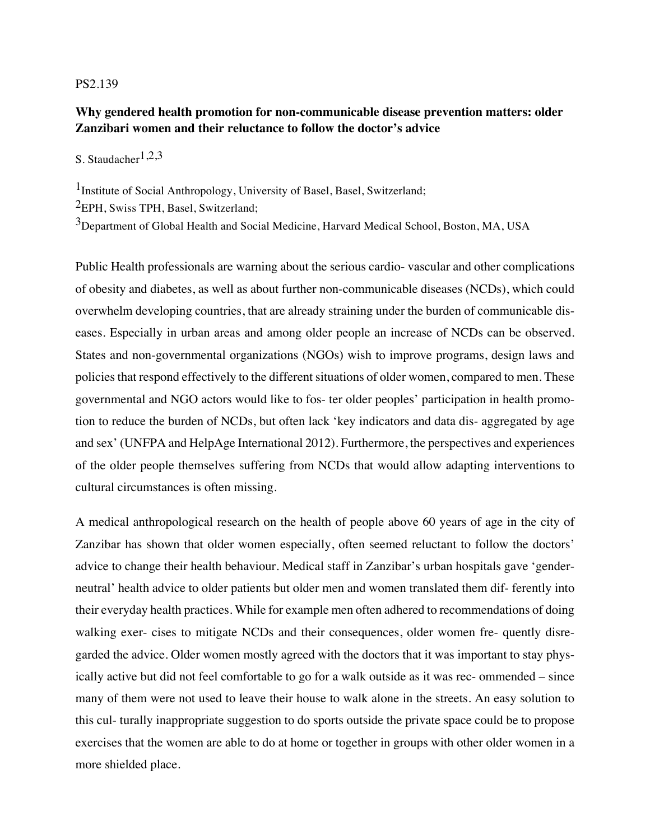## PS2.139

## **Why gendered health promotion for non-communicable disease prevention matters: older Zanzibari women and their reluctance to follow the doctor's advice**

S. Staudacher<sup>1,2,3</sup>

1Institute of Social Anthropology, University of Basel, Basel, Switzerland;

2EPH, Swiss TPH, Basel, Switzerland;

<sup>3</sup>Department of Global Health and Social Medicine, Harvard Medical School, Boston, MA, USA

Public Health professionals are warning about the serious cardio- vascular and other complications of obesity and diabetes, as well as about further non-communicable diseases (NCDs), which could overwhelm developing countries, that are already straining under the burden of communicable diseases. Especially in urban areas and among older people an increase of NCDs can be observed. States and non-governmental organizations (NGOs) wish to improve programs, design laws and policies that respond effectively to the different situations of older women, compared to men. These governmental and NGO actors would like to fos- ter older peoples' participation in health promotion to reduce the burden of NCDs, but often lack 'key indicators and data dis- aggregated by age and sex' (UNFPA and HelpAge International 2012). Furthermore, the perspectives and experiences of the older people themselves suffering from NCDs that would allow adapting interventions to cultural circumstances is often missing.

A medical anthropological research on the health of people above 60 years of age in the city of Zanzibar has shown that older women especially, often seemed reluctant to follow the doctors' advice to change their health behaviour. Medical staff in Zanzibar's urban hospitals gave 'genderneutral' health advice to older patients but older men and women translated them dif- ferently into their everyday health practices. While for example men often adhered to recommendations of doing walking exer- cises to mitigate NCDs and their consequences, older women fre- quently disregarded the advice. Older women mostly agreed with the doctors that it was important to stay physically active but did not feel comfortable to go for a walk outside as it was rec- ommended – since many of them were not used to leave their house to walk alone in the streets. An easy solution to this cul- turally inappropriate suggestion to do sports outside the private space could be to propose exercises that the women are able to do at home or together in groups with other older women in a more shielded place.